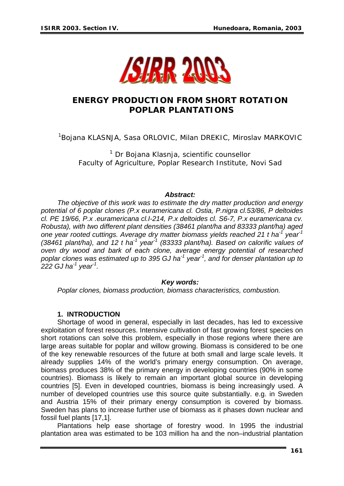

# **ENERGY PRODUCTION FROM SHORT ROTATION POPLAR PLANTATIONS**

<sup>1</sup>Bojana KLASNJA, Sasa ORLOVIC, Milan DREKIC, Miroslav MARKOVIC

<sup>1</sup> Dr Bojana Klasnja, scientific counsellor Faculty of Agriculture, Poplar Research Institute, Novi Sad

#### *Abstract:*

*The objective of this work was to estimate the dry matter production and energy potential of 6 poplar clones (P.x euramericana cl. Ostia, P.nigra cl.53/86, P deltoides cl. PE 19/66, P.x .euramericana cl.I-214, P.x deltoides cl. S6-7, P.x euramericana cv. Robusta), with two different plant densities (38461 plant/ha and 83333 plant/ha) aged one year rooted cuttings. Average dry matter biomass yields reached 21 t ha-1 year-1 (38461 plant/ha), and 12 t ha-1 year-1 (83333 plant/ha). Based on calorific values of oven dry wood and bark of each clone, average energy potential of researched poplar clones was estimated up to 395 GJ ha-1 year-1, and for denser plantation up to 222 GJ ha-1 year-1.* 

#### *Key words:*

*Poplar clones, biomass production, biomass characteristics, combustion.* 

### **1. INTRODUCTION**

Shortage of wood in general, especially in last decades, has led to excessive exploitation of forest resources. Intensive cultivation of fast growing forest species on short rotations can solve this problem, especially in those regions where there are large areas suitable for poplar and willow growing. Biomass is considered to be one of the key renewable resources of the future at both small and large scale levels. It already supplies 14% of the world's primary energy consumption. On average, biomass produces 38% of the primary energy in developing countries (90% in some countries). Biomass is likely to remain an important global source in developing countries [5]. Even in developed countries, biomass is being increasingly used. A number of developed countries use this source quite substantially. e.g. in Sweden and Austria 15% of their primary energy consumption is covered by biomass. Sweden has plans to increase further use of biomass as it phases down nuclear and fossil fuel plants [17,1].

Plantations help ease shortage of forestry wood. In 1995 the industrial plantation area was estimated to be 103 million ha and the non–industrial plantation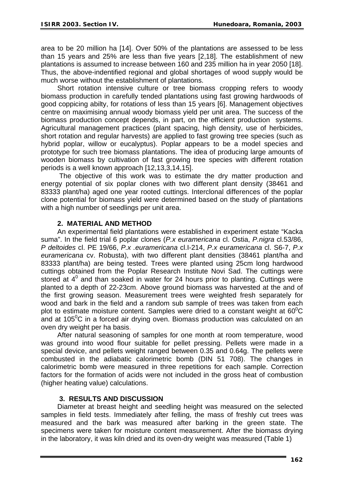area to be 20 million ha [14]. Over 50% of the plantations are assessed to be less than 15 years and 25% are less than five years [2,18]. The establishment of new plantations is assumed to increase between 160 and 235 million ha in year 2050 [18]. Thus, the above-indentified regional and global shortages of wood supply would be much worse without the establishment of plantations.

Short rotation intensive culture or tree biomass cropping refers to woody biomass production in carefully tended plantations using fast growing hardwoods of good coppicing abilty, for rotations of less than 15 years [6]. Management objectives centre on maximising annual woody biomass yield per unit area. The success of the biomass production concept depends, in part, on the efficient production systems. Agricultural management practices (plant spacing, high density, use of herbicides, short rotation and regular harvests) are applied to fast growing tree species (such as hybrid poplar, willow or eucalyptus). Poplar appears to be a model species and prototype for such tree biomass plantations. The idea of producing large amounts of wooden biomass by cultivation of fast growing tree species with different rotation periods is a well known approach [12,13,3,14,15].

 The objective of this work was to estimate the dry matter production and energy potential of six poplar clones with two different plant density (38461 and 83333 plant/ha) aged one year rooted cuttings. Interclonal differences of the poplar clone potential for biomass yield were determined based on the study of plantations with a high number of seedlings per unit area.

# **2. MATERIAL AND METHOD**

An experimental field plantations were established in experiment estate "Kacka suma". In the field trial 6 poplar clones (*P.x euramericana* cl. Ostia, *P.nigra* cl.53/86, *P deltoides* cl. PE 19/66, *P.x .euramericana* cl.I-214, *P.x euramericana* cl. S6-7, *P.x euramericana* cv. Robusta), with two different plant densities (38461 plant/ha and 83333 plant/ha) are being tested. Trees were planted using 25cm long hardwood cuttings obtained from the Poplar Research Institute Novi Sad. The cuttings were stored at  $4^0$  and than soaked in water for 24 hours prior to planting. Cuttings were planted to a depth of 22-23cm. Above ground biomass was harvested at the and of the first growing season. Measurement trees were weighted fresh separately for wood and bark in the field and a random sub sample of trees was taken from each plot to estimate moisture content. Samples were dried to a constant weight at  $60^{\circ}$ C and at 105 $\mathrm{^{0}C}$  in a forced air drying oven. Biomass production was calculated on an oven dry weight per ha basis.

After natural seasoning of samples for one month at room temperature, wood was ground into wood flour suitable for pellet pressing. Pellets were made in a special device, and pellets weight ranged between 0.35 and 0.64g. The pellets were combusted in the adiabatic calorimetric bomb (DIN 51 708). The changes in calorimetric bomb were measured in three repetitions for each sample. Correction factors for the formation of acids were not included in the gross heat of combustion (higher heating value) calculations.

# **3. RESULTS AND DISCUSSION**

Diameter at breast height and seedling height was measured on the selected samples in field tests. Immediately after felling, the mass of freshly cut trees was measured and the bark was measured after barking in the green state. The specimens were taken for moisture content measurement. After the biomass drying in the laboratory, it was kiln dried and its oven-dry weight was measured (Table 1)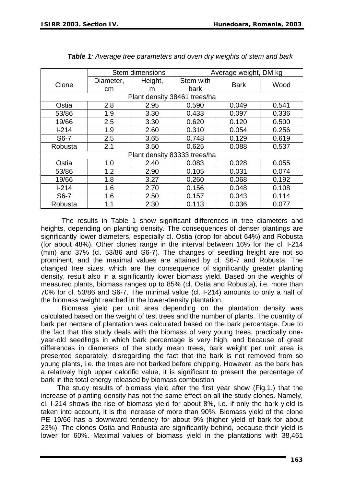|                              | Stem dimensions |         |           | Average weight, DM kg |       |  |  |
|------------------------------|-----------------|---------|-----------|-----------------------|-------|--|--|
| Clone                        | Diameter,       | Height, | Stem with | <b>Bark</b>           | Wood  |  |  |
|                              | <sub>cm</sub>   | m       | bark      |                       |       |  |  |
| Plant density 38461 trees/ha |                 |         |           |                       |       |  |  |
| Ostia                        | 2.8             | 2.95    | 0.590     | 0.049                 | 0.541 |  |  |
| 53/86                        | 1.9             | 3.30    | 0.433     | 0.097                 | 0.336 |  |  |
| 19/66                        | 2.5             | 3.30    | 0.620     | 0.120                 | 0.500 |  |  |
| $1 - 214$                    | 1.9             | 2.60    | 0.310     | 0.054                 | 0.256 |  |  |
| S6-7                         | 2.5             | 3.65    | 0.748     | 0.129                 | 0.619 |  |  |
| Robusta                      | 2.1             | 3.50    | 0.625     | 0.088                 | 0.537 |  |  |
| Plant density 83333 trees/ha |                 |         |           |                       |       |  |  |
| Ostia                        | 1.0             | 2.40    | 0.083     | 0.028                 | 0.055 |  |  |
| 53/86                        | 1.2             | 2.90    | 0.105     | 0.031                 | 0.074 |  |  |
| 19/66                        | 1.8             | 3.27    | 0.260     | 0.068                 | 0.192 |  |  |
| $1-214$                      | 1.6             | 2.70    | 0.156     | 0.048                 | 0.108 |  |  |
| S6-7                         | 1.6             | 2.50    | 0.157     | 0.043                 | 0.114 |  |  |
| Robusta                      | 1.1             | 2.30    | 0.113     | 0.036                 | 0.077 |  |  |

*Table 1: Average tree parameters and oven dry weights of stem and bark* 

 The results in Table 1 show significant differences in tree diameters and heights, depending on planting density. The consequences of denser plantings are significantly lower diameters, especially cl. Ostia (drop for about 64%) and Robusta (for about 48%). Other clones range in the interval between 16% for the cl. I-214 (min) and 37% (cl. 53/86 and S6-7). The changes of seedling height are not so prominent, and the maximal values are attained by cl. S6-7 and Robusta. The changed tree sizes, which are the consequence of significantly greater planting density, result also in a significantly lower biomass yield. Based on the weights of measured plants, biomass ranges up to 85% (cl. Ostia and Robusta), i.e. more than 70% for cl. 53/86 and S6-7. The minimal value (cl. I-214) amounts to only a half of the biomass weight reached in the lower-density plantation.

 Biomass yield per unit area depending on the plantation density was calculated based on the weight of test trees and the number of plants. The quantity of bark per hectare of plantation was calculated based on the bark percentage. Due to the fact that this study deals with the biomass of very young trees, practically oneyear-old seedlings in which bark percentage is very high, and because of great differences in diameters of the study mean trees, bark weight per unit area is presented separately, disregarding the fact that the bark is not removed from so young plants, i.e. the trees are not barked before chipping. However, as the bark has a relatively high upper calorific value, it is significant to present the percentage of bark in the total energy released by biomass combustion

The study results of biomass yield after the first year show (Fig.1.) that the increase of planting density has not the same effect on all the study clones. Namely, cl. I-214 shows the rise of biomass yield for about 8%, i.e. if only the bark yield is taken into account, it is the increase of more than 90%. Biomass yield of the clone PE 19/66 has a downward tendency for about 9% (higher yield of bark for about 23%). The clones Ostia and Robusta are significantly behind, because their yield is lower for 60%. Maximal values of biomass yield in the plantations with 38,461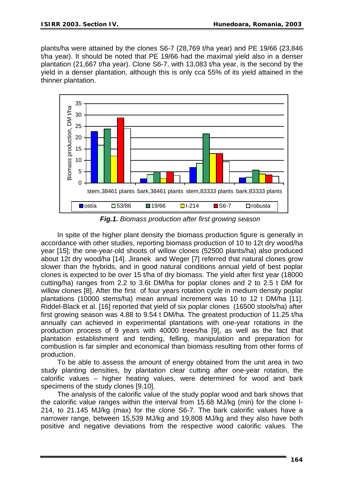plants/ha were attained by the clones S6-7 (28,769 t/ha year) and PE 19/66 (23,846 t/ha year). It should be noted that PE 19/66 had the maximal yield also in a denser plantation (21,667 t/ha year). Clone S6-7, with 13,083 t/ha year, is the second by the yield in a denser plantation, although this is only cca 55% of its yield attained in the thinner plantation.



*Fig.1. Biomass production after first growing season* 

In spite of the higher plant density the biomass production figure is generally in accordance with other studies, reporting biomass production of 10 to 12t dry wood/ha year [15]; the one-year-old shoots of willow clones (52500 plants/ha) also produced about 12t dry wood/ha [14]. Jiranek and Weger [7] referred that natural clones grow slower than the hybrids, and in good natural conditions annual yield of best poplar clones is expected to be over 15 t/ha of dry biomass. The yield after first year (18000 cutting/ha) ranges from 2.2 to 3.6t DM/ha for poplar clones and 2 to 2.5 t DM for willow clones [8]. After the first of four years rotation cycle in medium density poplar plantations (10000 stems/ha) mean annual increment was 10 to 12 t DM/ha [11]. Riddel-Black et al. [16] reported that yield of six poplar clones (16500 stools/ha) after first growing season was 4.88 to 9.54 t DM/ha. The greatest production of 11.25 t/ha annually can achieved in experimental plantations with one-year rotations in the production process of 9 years with 40000 trees/ha [9], as well as the fact that plantation establishment and tending, felling, manipulation and preparation for combustion is far simpler and economical than biomass resulting from other forms of production.

To be able to assess the amount of energy obtained from the unit area in two study planting densities, by plantation clear cutting after one-year rotation, the calorific values – higher heating values, were determined for wood and bark specimens of the study clones [9,10].

The analysis of the calorific value of the study poplar wood and bark shows that the calorific value ranges within the interval from 15.68 MJ/kg (min) for the clone I-214, to 21.145 MJ/kg (max) for the clone S6-7. The bark calorific values have a narrower range, between 15,539 MJ/kg and 19,808 MJ/kg and they also have both positive and negative deviations from the respective wood calorific values. The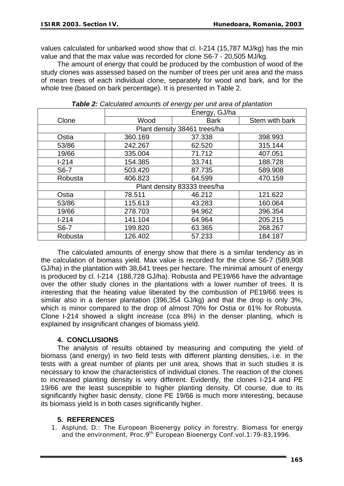values calculated for unbarked wood show that cl. I-214 (15,787 MJ/kg) has the min value and that the max value was recorded for clone S6-7 - 20,505 MJ/kg.

The amount of energy that could be produced by the combustion of wood of the study clones was assessed based on the number of trees per unit area and the mass of mean trees of each individual clone, separately for wood and bark, and for the whole tree (based on bark percentage). It is presented in Table 2.

|                              | Energy, GJ/ha |             |                |  |  |  |
|------------------------------|---------------|-------------|----------------|--|--|--|
| Clone                        | Wood          | <b>Bark</b> | Stem with bark |  |  |  |
| Plant density 38461 trees/ha |               |             |                |  |  |  |
| Ostia                        | 360.169       | 37.338      | 398.993        |  |  |  |
| 53/86                        | 242.267       | 62.520      | 315.144        |  |  |  |
| 19/66                        | 335.004       | 71.712      | 407.051        |  |  |  |
| $1 - 214$                    | 154.385       | 33.741      | 188.728        |  |  |  |
| S6-7                         | 503.420       | 87.735      | 589.908        |  |  |  |
| Robusta                      | 406.823       | 64.599      | 470.159        |  |  |  |
| Plant density 83333 trees/ha |               |             |                |  |  |  |
| Ostia                        | 78.511        | 46.212      | 121.622        |  |  |  |
| 53/86                        | 115.613       | 43.283      | 160.064        |  |  |  |
| 19/66                        | 278.703       | 94.962      | 396.354        |  |  |  |
| $1 - 214$                    | 141.104       | 64.964      | 205.215        |  |  |  |
| S <sub>6</sub> -7            | 199.820       | 63.365      | 268.267        |  |  |  |
| Robusta                      | 126.402       | 57.233      | 184.187        |  |  |  |

*Table 2: Calculated amounts of energy per unit area of plantation*

The calculated amounts of energy show that there is a similar tendency as in the calculation of biomass yield. Max value is recorded for the clone S6-7 (589,908 GJ/ha) in the plantation with 38,641 trees per hectare. The minimal amount of energy is produced by cl. I-214 (188,728 GJ/ha). Robusta and PE19/66 have the advantage over the other study clones in the plantations with a lower number of trees. It is interesting that the heating value liberated by the combustion of PE19/66 trees is similar also in a denser plantation (396,354 GJ/kg) and that the drop is only 3%, which is minor compared to the drop of almost 70% for Ostia or 61% for Robusta. Clone I-214 showed a slight increase (cca 8%) in the denser planting, which is explained by insignificant changes of biomass yield.

### **4. CONCLUSIONS**

The analysis of results obtained by measuring and computing the yield of biomass (and energy) in two field tests with different planting densities, i.e. in the tests with a great number of plants per unit area, shows that in such studies it is necessary to know the characteristics of individual clones. The reaction of the clones to increased planting density is very different. Evidently, the clones I-214 and PE 19/66 are the least susceptible to higher planting density. Of course, due to its significantly higher basic density, clone PE 19/66 is much more interesting, because its biomass yield is in both cases significantly higher.

# **5. REFERENCES**

1. Asplund, D.: The European Bioenergy policy in forestry. Biomass for energy and the environment, Proc.9<sup>th</sup> European Bioenergy Conf.vol.1:79-83,1996.